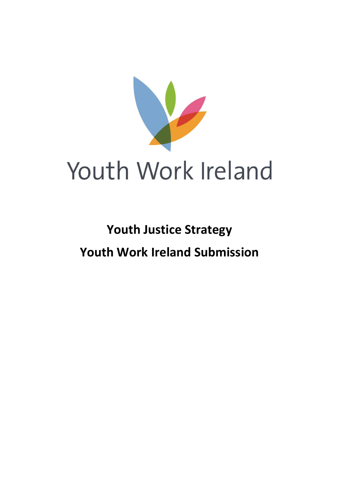

# **Youth Justice Strategy Youth Work Ireland Submission**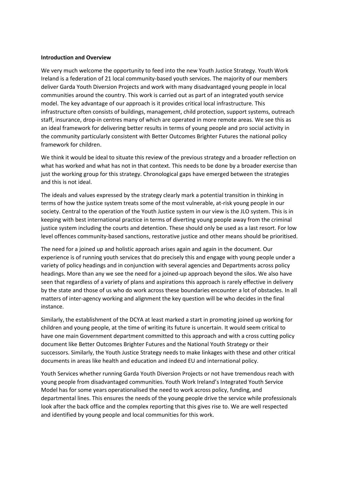#### **Introduction and Overview**

We very much welcome the opportunity to feed into the new Youth Justice Strategy. Youth Work Ireland is a federation of 21 local community-based youth services. The majority of our members deliver Garda Youth Diversion Projects and work with many disadvantaged young people in local communities around the country. This work is carried out as part of an integrated youth service model. The key advantage of our approach is it provides critical local infrastructure. This infrastructure often consists of buildings, management, child protection, support systems, outreach staff, insurance, drop-in centres many of which are operated in more remote areas. We see this as an ideal framework for delivering better results in terms of young people and pro social activity in the community particularly consistent with Better Outcomes Brighter Futures the national policy framework for children.

We think it would be ideal to situate this review of the previous strategy and a broader reflection on what has worked and what has not in that context. This needs to be done by a broader exercise than just the working group for this strategy. Chronological gaps have emerged between the strategies and this is not ideal.

The ideals and values expressed by the strategy clearly mark a potential transition in thinking in terms of how the justice system treats some of the most vulnerable, at-risk young people in our society. Central to the operation of the Youth Justice system in our view is the JLO system. This is in keeping with best international practice in terms of diverting young people away from the criminal justice system including the courts and detention. These should only be used as a last resort. For low level offences community-based sanctions, restorative justice and other means should be prioritised.

The need for a joined up and holistic approach arises again and again in the document. Our experience is of running youth services that do precisely this and engage with young people under a variety of policy headings and in conjunction with several agencies and Departments across policy headings. More than any we see the need for a joined-up approach beyond the silos. We also have seen that regardless of a variety of plans and aspirations this approach is rarely effective in delivery by the state and those of us who do work across these boundaries encounter a lot of obstacles. In all matters of inter-agency working and alignment the key question will be who decides in the final instance.

Similarly, the establishment of the DCYA at least marked a start in promoting joined up working for children and young people, at the time of writing its future is uncertain. It would seem critical to have one main Government department committed to this approach and with a cross cutting policy document like Better Outcomes Brighter Futures and the National Youth Strategy or their successors. Similarly, the Youth Justice Strategy needs to make linkages with these and other critical documents in areas like health and education and indeed EU and international policy.

Youth Services whether running Garda Youth Diversion Projects or not have tremendous reach with young people from disadvantaged communities. Youth Work Ireland's Integrated Youth Service Model has for some years operationalised the need to work across policy, funding, and departmental lines. This ensures the needs of the young people drive the service while professionals look after the back office and the complex reporting that this gives rise to. We are well respected and identified by young people and local communities for this work.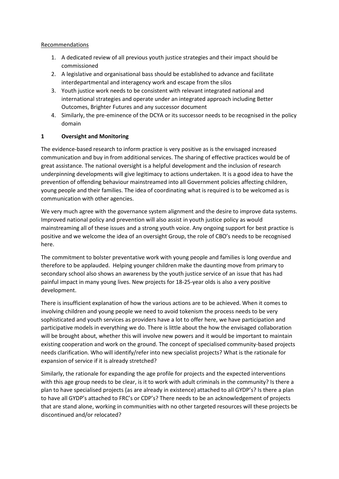#### Recommendations

- 1. A dedicated review of all previous youth justice strategies and their impact should be commissioned
- 2. A legislative and organisational bass should be established to advance and facilitate interdepartmental and interagency work and escape from the silos
- 3. Youth justice work needs to be consistent with relevant integrated national and international strategies and operate under an integrated approach including Better Outcomes, Brighter Futures and any successor document
- 4. Similarly, the pre-eminence of the DCYA or its successor needs to be recognised in the policy domain

#### **1 Oversight and Monitoring**

The evidence-based research to inform practice is very positive as is the envisaged increased communication and buy in from additional services. The sharing of effective practices would be of great assistance. The national oversight is a helpful development and the inclusion of research underpinning developments will give legitimacy to actions undertaken. It is a good idea to have the prevention of offending behaviour mainstreamed into all Government policies affecting children, young people and their families. The idea of coordinating what is required is to be welcomed as is communication with other agencies.

We very much agree with the governance system alignment and the desire to improve data systems. Improved national policy and prevention will also assist in youth justice policy as would mainstreaming all of these issues and a strong youth voice. Any ongoing support for best practice is positive and we welcome the idea of an oversight Group, the role of CBO's needs to be recognised here.

The commitment to bolster preventative work with young people and families is long overdue and therefore to be applauded. Helping younger children make the daunting move from primary to secondary school also shows an awareness by the youth justice service of an issue that has had painful impact in many young lives. New projects for 18-25-year olds is also a very positive development.

There is insufficient explanation of how the various actions are to be achieved. When it comes to involving children and young people we need to avoid tokenism the process needs to be very sophisticated and youth services as providers have a lot to offer here, we have participation and participative models in everything we do. There is little about the how the envisaged collaboration will be brought about, whether this will involve new powers and it would be important to maintain existing cooperation and work on the ground. The concept of specialised community-based projects needs clarification. Who will identify/refer into new specialist projects? What is the rationale for expansion of service if it is already stretched?

Similarly, the rationale for expanding the age profile for projects and the expected interventions with this age group needs to be clear, is it to work with adult criminals in the community? Is there a plan to have specialised projects (as are already in existence) attached to all GYDP's? Is there a plan to have all GYDP's attached to FRC's or CDP's? There needs to be an acknowledgement of projects that are stand alone, working in communities with no other targeted resources will these projects be discontinued and/or relocated?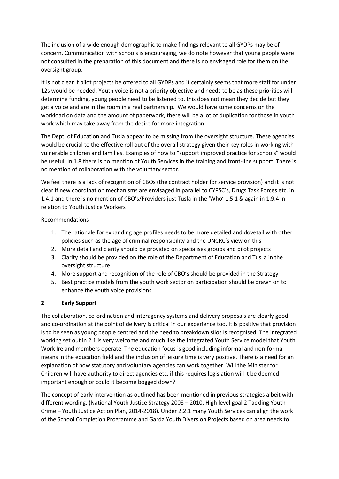The inclusion of a wide enough demographic to make findings relevant to all GYDPs may be of concern. Communication with schools is encouraging, we do note however that young people were not consulted in the preparation of this document and there is no envisaged role for them on the oversight group.

It is not clear if pilot projects be offered to all GYDPs and it certainly seems that more staff for under 12s would be needed. Youth voice is not a priority objective and needs to be as these priorities will determine funding, young people need to be listened to, this does not mean they decide but they get a voice and are in the room in a real partnership. We would have some concerns on the workload on data and the amount of paperwork, there will be a lot of duplication for those in youth work which may take away from the desire for more integration

The Dept. of Education and Tusla appear to be missing from the oversight structure. These agencies would be crucial to the effective roll out of the overall strategy given their key roles in working with vulnerable children and families. Examples of how to "support improved practice for schools" would be useful. In 1.8 there is no mention of Youth Services in the training and front-line support. There is no mention of collaboration with the voluntary sector.

We feel there is a lack of recognition of CBOs (the contract holder for service provision) and it is not clear if new coordination mechanisms are envisaged in parallel to CYPSC's, Drugs Task Forces etc. in 1.4.1 and there is no mention of CBO's/Providers just Tusla in the 'Who' 1.5.1 & again in 1.9.4 in relation to Youth Justice Workers

#### Recommendations

- 1. The rationale for expanding age profiles needs to be more detailed and dovetail with other policies such as the age of criminal responsibility and the UNCRC's view on this
- 2. More detail and clarity should be provided on specialises groups and pilot projects
- 3. Clarity should be provided on the role of the Department of Education and TusLa in the oversight structure
- 4. More support and recognition of the role of CBO's should be provided in the Strategy
- 5. Best practice models from the youth work sector on participation should be drawn on to enhance the youth voice provisions

#### **2 Early Support**

The collaboration, co-ordination and interagency systems and delivery proposals are clearly good and co-ordination at the point of delivery is critical in our experience too. It is positive that provision is to be seen as young people centred and the need to breakdown silos is recognised. The integrated working set out in 2.1 is very welcome and much like the Integrated Youth Service model that Youth Work Ireland members operate. The education focus is good including informal and non-formal means in the education field and the inclusion of leisure time is very positive. There is a need for an explanation of how statutory and voluntary agencies can work together. Will the Minister for Children will have authority to direct agencies etc. if this requires legislation will it be deemed important enough or could it become bogged down?

The concept of early intervention as outlined has been mentioned in previous strategies albeit with different wording. (National Youth Justice Strategy 2008 – 2010, High level goal 2 Tackling Youth Crime – Youth Justice Action Plan, 2014-2018). Under 2.2.1 many Youth Services can align the work of the School Completion Programme and Garda Youth Diversion Projects based on area needs to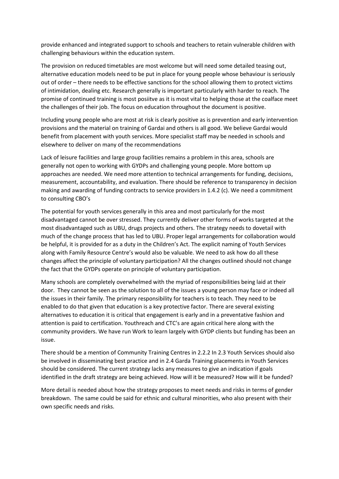provide enhanced and integrated support to schools and teachers to retain vulnerable children with challenging behaviours within the education system.

The provision on reduced timetables are most welcome but will need some detailed teasing out, alternative education models need to be put in place for young people whose behaviour is seriously out of order – there needs to be effective sanctions for the school allowing them to protect victims of intimidation, dealing etc. Research generally is important particularly with harder to reach. The promise of continued training is most posiitve as it is most vital to helping those at the coalface meet the challenges of their job. The focus on education throughout the document is positive.

Including young people who are most at risk is clearly positive as is prevention and early intervention provisions and the material on training of Gardai and others is all good. We believe Gardai would benefit from placement with youth services. More specialist staff may be needed in schools and elsewhere to deliver on many of the recommendations

Lack of leisure facilities and large group facilities remains a problem in this area, schools are generally not open to working with GYDPs and challenging young people. More bottom up approaches are needed. We need more attention to technical arrangements for funding, decisions, measurement, accountability, and evaluation. There should be reference to transparency in decision making and awarding of funding contracts to service providers in 1.4.2 (c). We need a commitment to consulting CBO's

The potential for youth services generally in this area and most particularly for the most disadvantaged cannot be over stressed. They currently deliver other forms of works targeted at the most disadvantaged such as UBU, drugs projects and others. The strategy needs to dovetail with much of the change process that has led to UBU. Proper legal arrangements for collaboration would be helpful, it is provided for as a duty in the Children's Act. The explicit naming of Youth Services along with Family Resource Centre's would also be valuable. We need to ask how do all these changes affect the principle of voluntary participation? All the changes outlined should not change the fact that the GYDPs operate on principle of voluntary participation.

Many schools are completely overwhelmed with the myriad of responsibilities being laid at their door. They cannot be seen as the solution to all of the issues a young person may face or indeed all the issues in their family. The primary responsibility for teachers is to teach. They need to be enabled to do that given that education is a key protective factor. There are several existing alternatives to education it is critical that engagement is early and in a preventative fashion and attention is paid to certification. Youthreach and CTC's are again critical here along with the community providers. We have run Work to learn largely with GYDP clients but funding has been an issue.

There should be a mention of Community Training Centres in 2.2.2 In 2.3 Youth Services should also be involved in disseminating best practice and in 2.4 Garda Training placements in Youth Services should be considered. The current strategy lacks any measures to give an indication if goals identified in the draft strategy are being achieved. How will it be measured? How will it be funded?

More detail is needed about how the strategy proposes to meet needs and risks in terms of gender breakdown. The same could be said for ethnic and cultural minorities, who also present with their own specific needs and risks.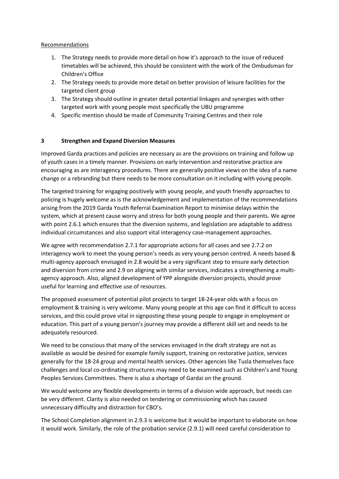#### Recommendations

- 1. The Strategy needs to provide more detail on how it's approach to the issue of reduced timetables will be achieved, this should be consistent with the work of the Ombudsman for Children's Office
- 2. The Strategy needs to provide more detail on better provision of leisure facilities for the targeted client group
- 3. The Strategy should outline in greater detail potential linkages and synergies with other targeted work with young people most specifically the UBU programme
- 4. Specific mention should be made of Community Training Centres and their role

## **3 Strengthen and Expand Diversion Measures**

Improved Garda practices and policies are necessary as are the provisions on training and follow up of youth cases in a timely manner. Provisions on early intervention and restorative practice are encouraging as are interagency procedures. There are generally positive views on the idea of a name change or a rebranding but there needs to be more consultation on it including with young people.

The targeted training for engaging positively with young people, and youth friendly approaches to policing is hugely welcome as is the acknowledgement and implementation of the recommendations arising from the 2019 Garda Youth Referral Examination Report to minimise delays within the system, which at present cause worry and stress for both young people and their parents. We agree with point 2.6.1 which ensures that the diversion systems, and legislation are adaptable to address individual circumstances and also support vital interagency case-management approaches.

We agree with recommendation 2.7.1 for appropriate actions for all cases and see 2.7.2 on interagency work to meet the young person's needs as very young person centred. A needs based & multi-agency approach envisaged in 2.8 would be a very significant step to ensure early detection and diversion from crime and 2.9 on aligning with similar services, indicates a strengthening a multiagency approach. Also, aligned development of YPP alongside diversion projects, should prove useful for learning and effective use of resources.

The proposed assessment of potential pilot projects to target 18-24-year olds with a focus on employment & training is very welcome. Many young people at this age can find it difficult to access services, and this could prove vital in signposting these young people to engage in employment or education. This part of a young person's journey may provide a different skill set and needs to be adequately resourced.

We need to be conscious that many of the services envisaged in the draft strategy are not as available as would be desired for example family support, training on restorative justice, services generally for the 18-24 group and mental health services. Other agencies like Tusla themselves face challenges and local co-ordinating structures may need to be examined such as Children's and Young Peoples Services Committees. There is also a shortage of Gardai on the ground.

We would welcome any flexible developments in terms of a division wide approach, but needs can be very different. Clarity is also needed on tendering or commissioning which has caused unnecessary difficulty and distraction for CBO's.

The School Completion alignment in 2.9.3 is welcome but it would be important to elaborate on how it would work. Similarly, the role of the probation service (2.9.1) will need careful consideration to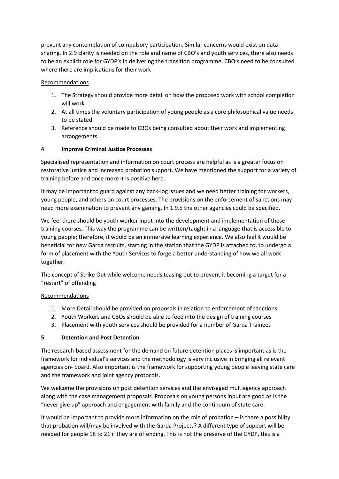prevent any contemplation of compulsory participation. Similar concerns would exist on data sharing. In 2.9 clarity is needed on the role and name of CBO's and youth services, there also needs to be an explicit role for GYDP's in delivering the transition programme. CBO's need to be consulted where there are implications for their work

#### Recommendations

- 1. The Strategy should provide more detail on how the proposed work with school completion will work
- 2. At all times the voluntary participation of young people as a core philosophical value needs to be stated
- 3. Reference should be made to CBOs being consulted about their work and implementing arrangements

## **4 Improve Criminal Justice Processes**

Specialised representation and information on court process are helpful as is a greater focus on restorative justice and increased probation support. We have mentioned the support for a variety of training before and once more it is positive here.

It may be important to guard against any back-log issues and we need better training for workers, young people, and others on court processes. The provisions on the enforcement of sanctions may need more examination to prevent any gaming. In 1.9.5 the other agencies could be specified.

We feel there should be youth worker input into the development and implementation of these training courses. This way the programme can be written/taught in a language that is accessible to young people; therefore, it would be an immersive learning experience. We also feel it would be beneficial for new Garda recruits, starting in the station that the GYDP is attached to, to undergo a form of placement with the Youth Services to forge a better understanding of how we all work together.

The concept of Strike Out while welcome needs teasing out to prevent it becoming a target for a "restart" of offending

## Recommendations

- 1. More Detail should be provided on proposals in relation to enforcement of sanctions
- 2. Youth Workers and CBOs should be able to feed into the design of training courses
- 3. Placement with youth services should be provided for a number of Garda Trainees

#### **5 Detention and Post Detention**

The research-based assessment for the demand on future detention places is important as is the framework for individual's services and the methodology is very inclusive in bringing all relevant agencies on- board. Also important is the framework for supporting young people leaving state care and the framework and joint agency protocols.

We welcome the provisions on post detention services and the envisaged multiagency approach along with the case management proposals. Proposals on young persons input are good as is the "never give up" approach and engagement with family and the continuum of state care.

It would be important to provide more information on the role of probation – is there a possibility that probation will/may be involved with the Garda Projects? A different type of support will be needed for people 18 to 21 if they are offending. This is not the preserve of the GYDP, this is a